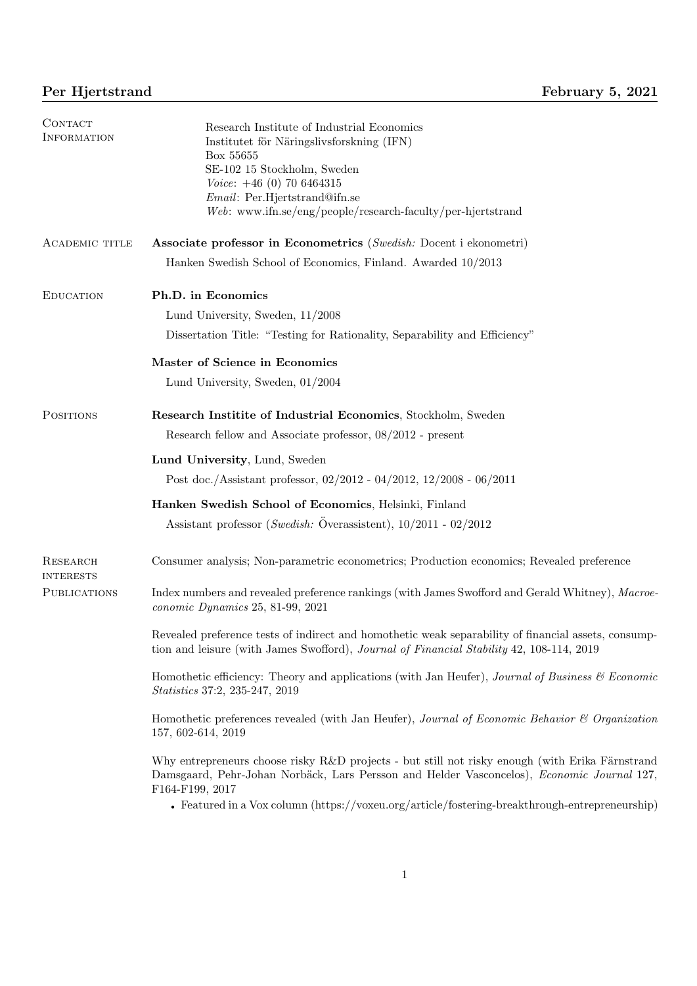| CONTACT<br><b>INFORMATION</b> | Research Institute of Industrial Economics<br>Institutet för Näringslivsforskning (IFN)<br>Box 55655<br>SE-102 15 Stockholm, Sweden<br>$Voice: +46(0)$ 70 6464315<br>Email: Per.Hjertstrand@ifn.se<br>$Web:$ www.ifn.se/eng/people/research-faculty/per-hjertstrand                                                                 |
|-------------------------------|-------------------------------------------------------------------------------------------------------------------------------------------------------------------------------------------------------------------------------------------------------------------------------------------------------------------------------------|
| <b>ACADEMIC TITLE</b>         | Associate professor in Econometrics (Swedish: Docent i ekonometri)<br>Hanken Swedish School of Economics, Finland. Awarded 10/2013                                                                                                                                                                                                  |
| <b>EDUCATION</b>              | Ph.D. in Economics<br>Lund University, Sweden, $11/2008$<br>Dissertation Title: "Testing for Rationality, Separability and Efficiency"                                                                                                                                                                                              |
|                               | Master of Science in Economics<br>Lund University, Sweden, $01/2004$                                                                                                                                                                                                                                                                |
| <b>POSITIONS</b>              | Research Institute of Industrial Economics, Stockholm, Sweden<br>Research fellow and Associate professor, 08/2012 - present                                                                                                                                                                                                         |
|                               | Lund University, Lund, Sweden<br>Post doc./Assistant professor, 02/2012 - 04/2012, 12/2008 - 06/2011                                                                                                                                                                                                                                |
|                               | Hanken Swedish School of Economics, Helsinki, Finland<br>Assistant professor (Swedish: Överassistent), $10/2011 - 02/2012$                                                                                                                                                                                                          |
| RESEARCH<br><b>INTERESTS</b>  | Consumer analysis; Non-parametric econometrics; Production economics; Revealed preference                                                                                                                                                                                                                                           |
| <b>PUBLICATIONS</b>           | Index numbers and revealed preference rankings (with James Swofford and Gerald Whitney), Macroe-<br>conomic Dynamics 25, 81-99, 2021                                                                                                                                                                                                |
|                               | Revealed preference tests of indirect and homothetic weak separability of financial assets, consump-<br>tion and leisure (with James Swofford), <i>Journal of Financial Stability</i> 42, 108-114, 2019                                                                                                                             |
|                               | Homothetic efficiency: Theory and applications (with Jan Heufer), Journal of Business & Economic<br><i>Statistics</i> 37:2, 235-247, 2019                                                                                                                                                                                           |
|                               | Homothetic preferences revealed (with Jan Heufer), Journal of Economic Behavior & Organization<br>157, 602-614, 2019                                                                                                                                                                                                                |
|                               | Why entrepreneurs choose risky R&D projects - but still not risky enough (with Erika Färnstrand<br>Damsgaard, Pehr-Johan Norbäck, Lars Persson and Helder Vasconcelos), Economic Journal 127,<br>F164-F199, 2017<br>Featured in a Vox column $(\text{https://voxeu.org/article/fostering-breaking-}$ preakthrough-entrepreneurship) |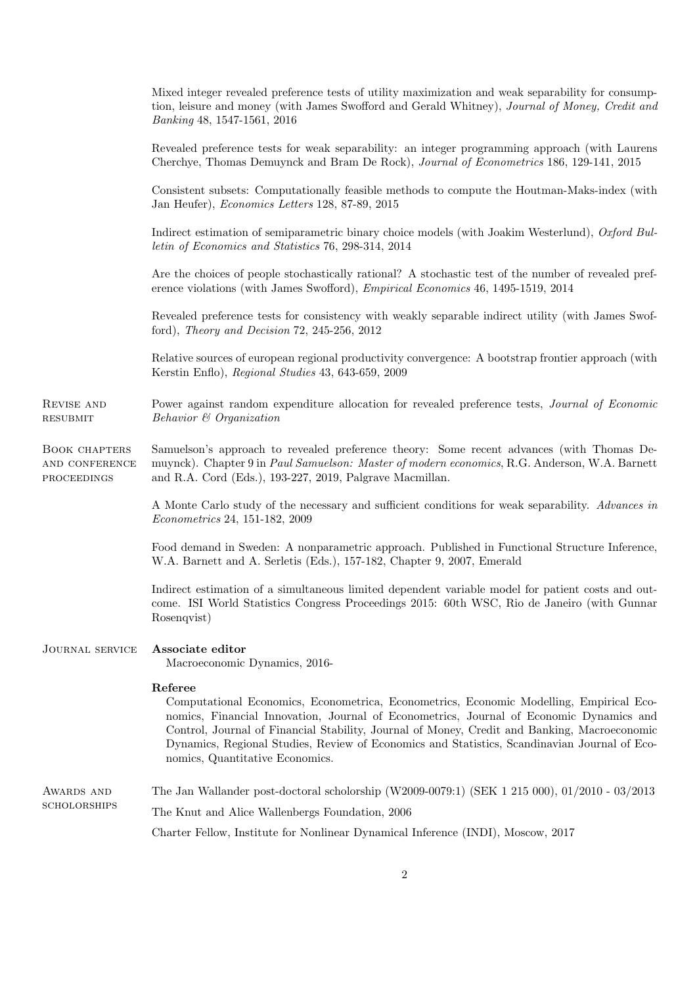|                                                       | Mixed integer revealed preference tests of utility maximization and weak separability for consump-<br>tion, leisure and money (with James Swofford and Gerald Whitney), Journal of Money, Credit and<br>Banking 48, 1547-1561, 2016                                                                                                                                                                                              |
|-------------------------------------------------------|----------------------------------------------------------------------------------------------------------------------------------------------------------------------------------------------------------------------------------------------------------------------------------------------------------------------------------------------------------------------------------------------------------------------------------|
|                                                       | Revealed preference tests for weak separability: an integer programming approach (with Laurens<br>Cherchye, Thomas Demuynck and Bram De Rock), Journal of Econometrics 186, 129-141, 2015                                                                                                                                                                                                                                        |
|                                                       | Consistent subsets: Computationally feasible methods to compute the Houtman-Maks-index (with<br>Jan Heufer), <i>Economics Letters</i> 128, 87-89, 2015                                                                                                                                                                                                                                                                           |
|                                                       | Indirect estimation of semiparametric binary choice models (with Joakim Westerlund), Oxford Bul-<br>letin of Economics and Statistics 76, 298-314, 2014                                                                                                                                                                                                                                                                          |
|                                                       | Are the choices of people stochastically rational? A stochastic test of the number of revealed pref-<br>erence violations (with James Swofford), <i>Empirical Economics</i> 46, 1495-1519, 2014                                                                                                                                                                                                                                  |
|                                                       | Revealed preference tests for consistency with weakly separable indirect utility (with James Swof-<br>ford), Theory and Decision 72, 245-256, 2012                                                                                                                                                                                                                                                                               |
|                                                       | Relative sources of european regional productivity convergence: A bootstrap frontier approach (with<br>Kerstin Enflo), Regional Studies 43, 643-659, 2009                                                                                                                                                                                                                                                                        |
| REVISE AND<br><b>RESUBMIT</b>                         | Power against random expenditure allocation for revealed preference tests, <i>Journal of Economic</i><br>Behavior & Organization                                                                                                                                                                                                                                                                                                 |
| <b>BOOK CHAPTERS</b><br>AND CONFERENCE<br>PROCEEDINGS | Samuelson's approach to revealed preference theory: Some recent advances (with Thomas De-<br>muynck). Chapter 9 in Paul Samuelson: Master of modern economics, R.G. Anderson, W.A. Barnett<br>and R.A. Cord (Eds.), 193-227, 2019, Palgrave Macmillan.                                                                                                                                                                           |
|                                                       | A Monte Carlo study of the necessary and sufficient conditions for weak separability. Advances in<br><i>Econometrics</i> 24, 151-182, 2009                                                                                                                                                                                                                                                                                       |
|                                                       | Food demand in Sweden: A nonparametric approach. Published in Functional Structure Inference,<br>W.A. Barnett and A. Serletis (Eds.), 157-182, Chapter 9, 2007, Emerald                                                                                                                                                                                                                                                          |
|                                                       | Indirect estimation of a simultaneous limited dependent variable model for patient costs and out-<br>come. ISI World Statistics Congress Proceedings 2015: 60th WSC, Rio de Janeiro (with Gunnar<br>Rosenqvist)                                                                                                                                                                                                                  |
| <b>JOURNAL SERVICE</b>                                | Associate editor<br>Macroeconomic Dynamics, 2016-                                                                                                                                                                                                                                                                                                                                                                                |
|                                                       | Referee<br>Computational Economics, Econometrica, Econometrics, Economic Modelling, Empirical Eco-<br>nomics, Financial Innovation, Journal of Econometrics, Journal of Economic Dynamics and<br>Control, Journal of Financial Stability, Journal of Money, Credit and Banking, Macroeconomic<br>Dynamics, Regional Studies, Review of Economics and Statistics, Scandinavian Journal of Eco-<br>nomics, Quantitative Economics. |
| AWARDS AND<br><b>SCHOLORSHIPS</b>                     | The Jan Wallander post-doctoral scholorship (W2009-0079:1) (SEK 1 215 000), 01/2010 - 03/2013                                                                                                                                                                                                                                                                                                                                    |
|                                                       | The Knut and Alice Wallenbergs Foundation, 2006                                                                                                                                                                                                                                                                                                                                                                                  |
|                                                       | Charter Fellow, Institute for Nonlinear Dynamical Inference (INDI), Moscow, 2017                                                                                                                                                                                                                                                                                                                                                 |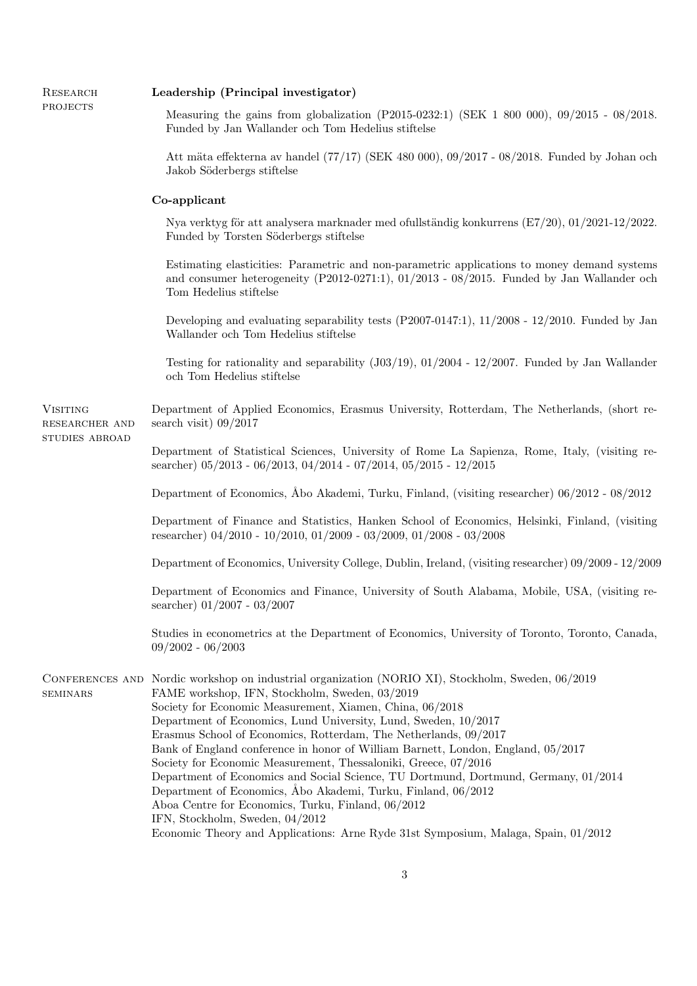| RESEARCH<br>PROJECTS                                | Leadership (Principal investigator)                                                                                                                                                                                                                                                                                                                                                                                                                                                                                                                                                                                                                                                                                                                                                                                                                  |
|-----------------------------------------------------|------------------------------------------------------------------------------------------------------------------------------------------------------------------------------------------------------------------------------------------------------------------------------------------------------------------------------------------------------------------------------------------------------------------------------------------------------------------------------------------------------------------------------------------------------------------------------------------------------------------------------------------------------------------------------------------------------------------------------------------------------------------------------------------------------------------------------------------------------|
|                                                     | Measuring the gains from globalization (P2015-0232:1) (SEK 1 800 000), $09/2015 - 08/2018$ .<br>Funded by Jan Wallander och Tom Hedelius stiftelse                                                                                                                                                                                                                                                                                                                                                                                                                                                                                                                                                                                                                                                                                                   |
|                                                     | Att mäta effekterna av handel $(77/17)$ (SEK 480 000), 09/2017 - 08/2018. Funded by Johan och<br>Jakob Söderbergs stiftelse                                                                                                                                                                                                                                                                                                                                                                                                                                                                                                                                                                                                                                                                                                                          |
|                                                     | Co-applicant                                                                                                                                                                                                                                                                                                                                                                                                                                                                                                                                                                                                                                                                                                                                                                                                                                         |
|                                                     | Nya verktyg för att analysera marknader med ofullständig konkurrens $(E7/20)$ , $01/2021-12/2022$ .<br>Funded by Torsten Söderbergs stiftelse                                                                                                                                                                                                                                                                                                                                                                                                                                                                                                                                                                                                                                                                                                        |
|                                                     | Estimating elasticities: Parametric and non-parametric applications to money demand systems<br>and consumer heterogeneity $(P2012-0271:1)$ , $01/2013 - 08/2015$ . Funded by Jan Wallander och<br>Tom Hedelius stiftelse                                                                                                                                                                                                                                                                                                                                                                                                                                                                                                                                                                                                                             |
|                                                     | Developing and evaluating separability tests $(P2007-0147:1)$ , $11/2008 - 12/2010$ . Funded by Jan<br>Wallander och Tom Hedelius stiftelse                                                                                                                                                                                                                                                                                                                                                                                                                                                                                                                                                                                                                                                                                                          |
|                                                     | Testing for rationality and separability $(J03/19), 01/2004 - 12/2007$ . Funded by Jan Wallander<br>och Tom Hedelius stiftelse                                                                                                                                                                                                                                                                                                                                                                                                                                                                                                                                                                                                                                                                                                                       |
| <b>VISITING</b><br>RESEARCHER AND<br>STUDIES ABROAD | Department of Applied Economics, Erasmus University, Rotterdam, The Netherlands, (short re-<br>search visit) $09/2017$                                                                                                                                                                                                                                                                                                                                                                                                                                                                                                                                                                                                                                                                                                                               |
|                                                     | Department of Statistical Sciences, University of Rome La Sapienza, Rome, Italy, (visiting re-<br>searcher) $05/2013 - 06/2013$ , $04/2014 - 07/2014$ , $05/2015 - 12/2015$                                                                                                                                                                                                                                                                                                                                                                                                                                                                                                                                                                                                                                                                          |
|                                                     | Department of Economics, Abo Akademi, Turku, Finland, (visiting researcher) 06/2012 - 08/2012                                                                                                                                                                                                                                                                                                                                                                                                                                                                                                                                                                                                                                                                                                                                                        |
|                                                     | Department of Finance and Statistics, Hanken School of Economics, Helsinki, Finland, (visiting<br>researcher) $04/2010 - 10/2010$ , $01/2009 - 03/2009$ , $01/2008 - 03/2008$                                                                                                                                                                                                                                                                                                                                                                                                                                                                                                                                                                                                                                                                        |
|                                                     | Department of Economics, University College, Dublin, Ireland, (visiting researcher) 09/2009 - 12/2009                                                                                                                                                                                                                                                                                                                                                                                                                                                                                                                                                                                                                                                                                                                                                |
|                                                     | Department of Economics and Finance, University of South Alabama, Mobile, USA, (visiting re-<br>searcher) $01/2007 - 03/2007$                                                                                                                                                                                                                                                                                                                                                                                                                                                                                                                                                                                                                                                                                                                        |
|                                                     | Studies in econometrics at the Department of Economics, University of Toronto, Toronto, Canada,<br>$09/2002 - 06/2003$                                                                                                                                                                                                                                                                                                                                                                                                                                                                                                                                                                                                                                                                                                                               |
| <b>SEMINARS</b>                                     | CONFERENCES AND Nordic workshop on industrial organization (NORIO XI), Stockholm, Sweden, 06/2019<br>FAME workshop, IFN, Stockholm, Sweden, 03/2019<br>Society for Economic Measurement, Xiamen, China, 06/2018<br>Department of Economics, Lund University, Lund, Sweden, 10/2017<br>Erasmus School of Economics, Rotterdam, The Netherlands, 09/2017<br>Bank of England conference in honor of William Barnett, London, England, 05/2017<br>Society for Economic Measurement, Thessaloniki, Greece, 07/2016<br>Department of Economics and Social Science, TU Dortmund, Dortmund, Germany, 01/2014<br>Department of Economics, Åbo Akademi, Turku, Finland, 06/2012<br>Aboa Centre for Economics, Turku, Finland, 06/2012<br>IFN, Stockholm, Sweden, 04/2012<br>Economic Theory and Applications: Arne Ryde 31st Symposium, Malaga, Spain, 01/2012 |